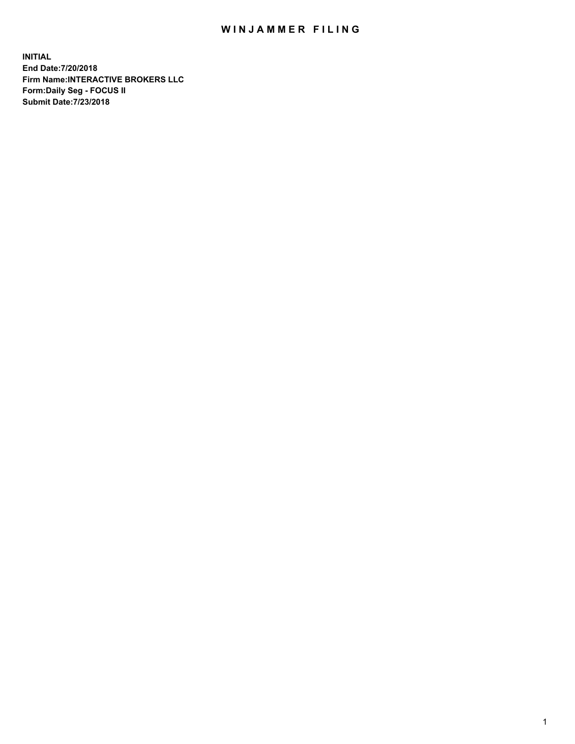## WIN JAMMER FILING

**INITIAL End Date:7/20/2018 Firm Name:INTERACTIVE BROKERS LLC Form:Daily Seg - FOCUS II Submit Date:7/23/2018**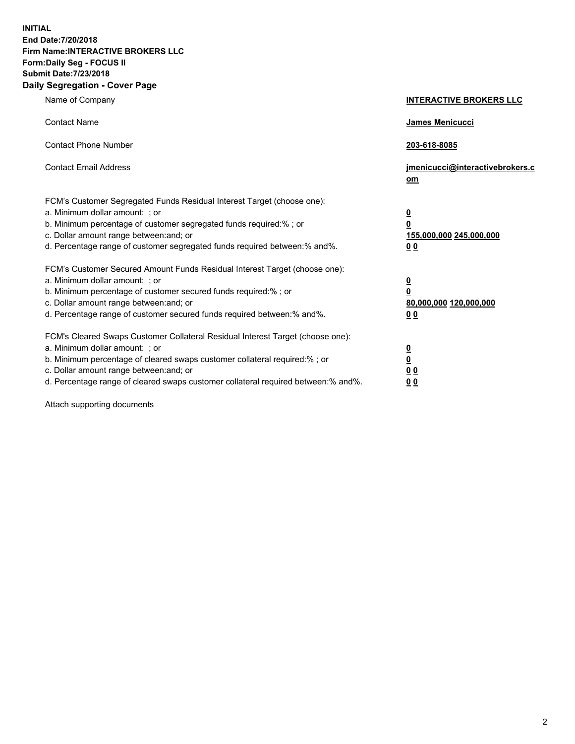**INITIAL End Date:7/20/2018 Firm Name:INTERACTIVE BROKERS LLC Form:Daily Seg - FOCUS II Submit Date:7/23/2018 Daily Segregation - Cover Page**

| Name of Company                                                                                                                                                                                                                                                                                                                | <b>INTERACTIVE BROKERS LLC</b>                                                                  |
|--------------------------------------------------------------------------------------------------------------------------------------------------------------------------------------------------------------------------------------------------------------------------------------------------------------------------------|-------------------------------------------------------------------------------------------------|
| <b>Contact Name</b>                                                                                                                                                                                                                                                                                                            | <b>James Menicucci</b>                                                                          |
| <b>Contact Phone Number</b>                                                                                                                                                                                                                                                                                                    | 203-618-8085                                                                                    |
| <b>Contact Email Address</b>                                                                                                                                                                                                                                                                                                   | jmenicucci@interactivebrokers.c<br>om                                                           |
| FCM's Customer Segregated Funds Residual Interest Target (choose one):<br>a. Minimum dollar amount: ; or<br>b. Minimum percentage of customer segregated funds required:% ; or<br>c. Dollar amount range between: and; or<br>d. Percentage range of customer segregated funds required between: % and %.                       | $\overline{\mathbf{0}}$<br>$\overline{\mathbf{0}}$<br>155,000,000 245,000,000<br>0 <sub>0</sub> |
| FCM's Customer Secured Amount Funds Residual Interest Target (choose one):<br>a. Minimum dollar amount: ; or<br>b. Minimum percentage of customer secured funds required:%; or<br>c. Dollar amount range between: and; or<br>d. Percentage range of customer secured funds required between:% and%.                            | <u>0</u><br>$\overline{\mathbf{0}}$<br>80,000,000 120,000,000<br>0 <sub>0</sub>                 |
| FCM's Cleared Swaps Customer Collateral Residual Interest Target (choose one):<br>a. Minimum dollar amount: ; or<br>b. Minimum percentage of cleared swaps customer collateral required:% ; or<br>c. Dollar amount range between: and; or<br>d. Percentage range of cleared swaps customer collateral required between:% and%. | $\overline{\mathbf{0}}$<br>$\underline{\mathbf{0}}$<br>0 <sub>0</sub><br>0 <sub>0</sub>         |

Attach supporting documents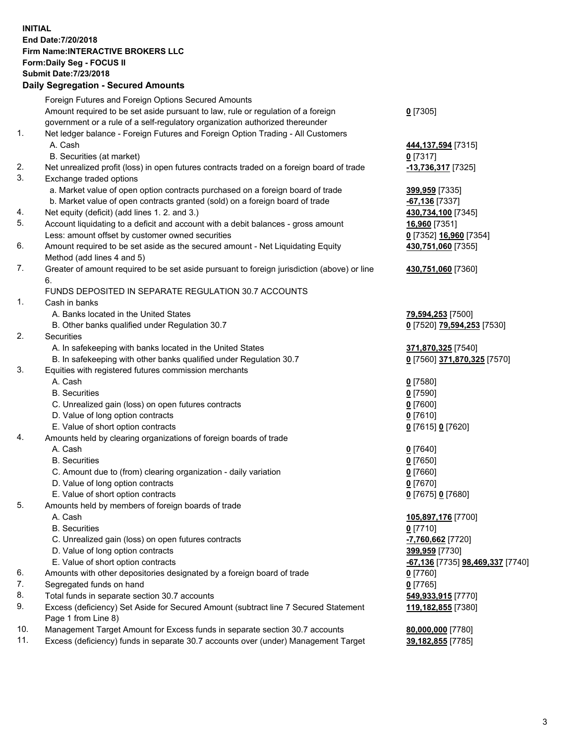## **INITIAL End Date:7/20/2018 Firm Name:INTERACTIVE BROKERS LLC Form:Daily Seg - FOCUS II Submit Date:7/23/2018 Daily Segregation - Secured Amounts**

|                | Daily Ocglegation - Occuled Aniounts                                                                       |                                        |
|----------------|------------------------------------------------------------------------------------------------------------|----------------------------------------|
|                | Foreign Futures and Foreign Options Secured Amounts                                                        |                                        |
|                | Amount required to be set aside pursuant to law, rule or regulation of a foreign                           | $0$ [7305]                             |
|                | government or a rule of a self-regulatory organization authorized thereunder                               |                                        |
| $\mathbf{1}$ . | Net ledger balance - Foreign Futures and Foreign Option Trading - All Customers                            |                                        |
|                | A. Cash                                                                                                    | 444, 137, 594 [7315]                   |
|                | B. Securities (at market)                                                                                  | $0$ [7317]                             |
| 2.             | Net unrealized profit (loss) in open futures contracts traded on a foreign board of trade                  | -13,736,317 [7325]                     |
| 3.             | Exchange traded options                                                                                    |                                        |
|                | a. Market value of open option contracts purchased on a foreign board of trade                             | 399,959 [7335]                         |
|                | b. Market value of open contracts granted (sold) on a foreign board of trade                               | -67,136 [7337]                         |
| 4.             | Net equity (deficit) (add lines 1.2. and 3.)                                                               | 430,734,100 [7345]                     |
| 5.             | Account liquidating to a deficit and account with a debit balances - gross amount                          | 16,960 [7351]                          |
|                | Less: amount offset by customer owned securities                                                           | 0 [7352] 16,960 [7354]                 |
| 6.             | Amount required to be set aside as the secured amount - Net Liquidating Equity                             | 430,751,060 [7355]                     |
|                | Method (add lines 4 and 5)                                                                                 |                                        |
| 7.             | Greater of amount required to be set aside pursuant to foreign jurisdiction (above) or line                | 430,751,060 [7360]                     |
|                | 6.                                                                                                         |                                        |
|                | FUNDS DEPOSITED IN SEPARATE REGULATION 30.7 ACCOUNTS                                                       |                                        |
| $\mathbf{1}$ . | Cash in banks                                                                                              |                                        |
|                | A. Banks located in the United States                                                                      | 79,594,253 [7500]                      |
|                | B. Other banks qualified under Regulation 30.7                                                             | 0 [7520] 79,594,253 [7530]             |
| 2.             | Securities                                                                                                 |                                        |
|                | A. In safekeeping with banks located in the United States                                                  | 371,870,325 [7540]                     |
|                | B. In safekeeping with other banks qualified under Regulation 30.7                                         | 0 [7560] 371,870,325 [7570]            |
| 3.             | Equities with registered futures commission merchants                                                      |                                        |
|                | A. Cash                                                                                                    | $0$ [7580]                             |
|                | <b>B.</b> Securities                                                                                       | $0$ [7590]                             |
|                | C. Unrealized gain (loss) on open futures contracts                                                        | $0$ [7600]                             |
|                | D. Value of long option contracts                                                                          | $0$ [7610]                             |
|                | E. Value of short option contracts                                                                         | 0 [7615] 0 [7620]                      |
| 4.             | Amounts held by clearing organizations of foreign boards of trade                                          |                                        |
|                | A. Cash                                                                                                    | $0$ [7640]                             |
|                | <b>B.</b> Securities                                                                                       | $0$ [7650]                             |
|                | C. Amount due to (from) clearing organization - daily variation                                            | $0$ [7660]                             |
|                | D. Value of long option contracts                                                                          | $0$ [7670]                             |
|                | E. Value of short option contracts                                                                         | 0 [7675] 0 [7680]                      |
| 5.             | Amounts held by members of foreign boards of trade                                                         |                                        |
|                | A. Cash                                                                                                    | 105,897,176 [7700]                     |
|                | <b>B.</b> Securities                                                                                       | $0$ [7710]                             |
|                | C. Unrealized gain (loss) on open futures contracts                                                        | -7,760,662 <sup>[7720]</sup>           |
|                | D. Value of long option contracts                                                                          | 399,959 [7730]                         |
|                | E. Value of short option contracts                                                                         | -67,136 [7735] 98,469,337 [7740]       |
| 6.             | Amounts with other depositories designated by a foreign board of trade                                     | 0 [7760]                               |
| 7.             | Segregated funds on hand                                                                                   | $0$ [7765]                             |
| 8.<br>9.       | Total funds in separate section 30.7 accounts                                                              | 549,933,915 [7770]                     |
|                | Excess (deficiency) Set Aside for Secured Amount (subtract line 7 Secured Statement<br>Page 1 from Line 8) | 119,182,855 [7380]                     |
| 10.            | Management Target Amount for Excess funds in separate section 30.7 accounts                                |                                        |
| 11.            | Excess (deficiency) funds in separate 30.7 accounts over (under) Management Target                         | 80,000,000 [7780]<br>39,182,855 [7785] |
|                |                                                                                                            |                                        |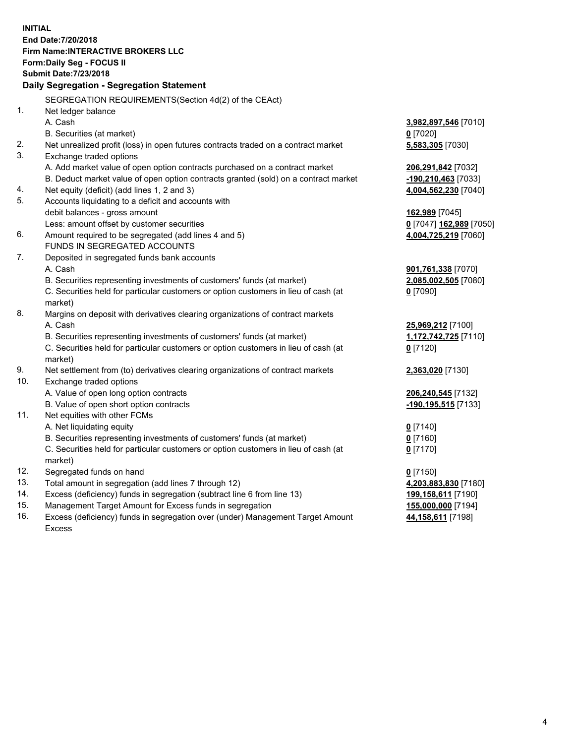**INITIAL End Date:7/20/2018 Firm Name:INTERACTIVE BROKERS LLC Form:Daily Seg - FOCUS II Submit Date:7/23/2018 Daily Segregation - Segregation Statement** SEGREGATION REQUIREMENTS(Section 4d(2) of the CEAct) 1. Net ledger balance A. Cash **3,982,897,546** [7010] B. Securities (at market) **0** [7020] 2. Net unrealized profit (loss) in open futures contracts traded on a contract market **5,583,305** [7030] 3. Exchange traded options A. Add market value of open option contracts purchased on a contract market **206,291,842** [7032] B. Deduct market value of open option contracts granted (sold) on a contract market **-190,210,463** [7033] 4. Net equity (deficit) (add lines 1, 2 and 3) **4,004,562,230** [7040] 5. Accounts liquidating to a deficit and accounts with debit balances - gross amount **162,989** [7045] Less: amount offset by customer securities **0** [7047] **162,989** [7050] 6. Amount required to be segregated (add lines 4 and 5) **4,004,725,219** [7060] FUNDS IN SEGREGATED ACCOUNTS 7. Deposited in segregated funds bank accounts A. Cash **901,761,338** [7070] B. Securities representing investments of customers' funds (at market) **2,085,002,505** [7080] C. Securities held for particular customers or option customers in lieu of cash (at market) **0** [7090] 8. Margins on deposit with derivatives clearing organizations of contract markets A. Cash **25,969,212** [7100] B. Securities representing investments of customers' funds (at market) **1,172,742,725** [7110] C. Securities held for particular customers or option customers in lieu of cash (at market) **0** [7120] 9. Net settlement from (to) derivatives clearing organizations of contract markets **2,363,020** [7130] 10. Exchange traded options A. Value of open long option contracts **206,240,545** [7132] B. Value of open short option contracts **-190,195,515** [7133] 11. Net equities with other FCMs A. Net liquidating equity **0** [7140] B. Securities representing investments of customers' funds (at market) **0** [7160] C. Securities held for particular customers or option customers in lieu of cash (at market) **0** [7170] 12. Segregated funds on hand **0** [7150] 13. Total amount in segregation (add lines 7 through 12) **4,203,883,830** [7180] 14. Excess (deficiency) funds in segregation (subtract line 6 from line 13) **199,158,611** [7190] 15. Management Target Amount for Excess funds in segregation **155,000,000** [7194]

16. Excess (deficiency) funds in segregation over (under) Management Target Amount Excess

**44,158,611** [7198]